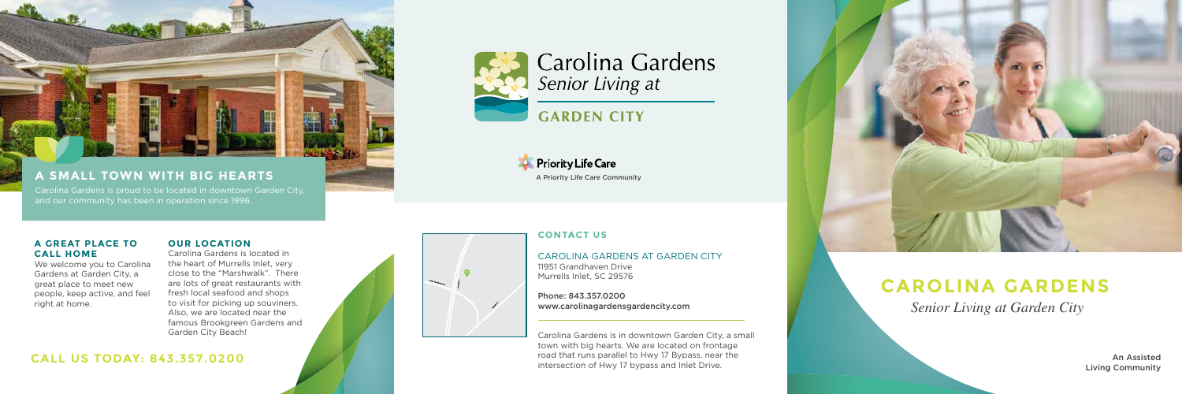*Senior Living at Garden City*

### **A GREAT PLACE TO CALL HOME**

We welcome you to Carolina Gardens at Garden City, a great place to meet new people, keep active, and feel right at home.

### **OUR LOCATION**

Carolina Gardens is located in the heart of Murrells Inlet, very close to the "Marshwalk". There are lots of great restaurants with fresh local seafood and shops to visit for picking up souviners. Also, we are located near the famous Brookgreen Gardens and Garden City Beach!

### **CONTACT US**

CAROLINA GARDENS AT GARDEN CITY 11951 Grandhaven Drive Murrells Inlet, SC 29576

Phone: 843.357.0200 www.carolinagardensgardencity.com

Carolina Gardens is in downtown Garden City, a small town with big hearts. We are located on frontage road that runs parallel to Hwy 17 Bypass, near the intersection of Hwy 17 bypass and Inlet Drive.



**A SMALL TOWN WITH BIG HEARTS**

and our community has been in operation since 1996.

### **CALL US TODAY: 843.357.0200**



# **CAROLINA GARDENS**

An Assisted Living Community







# Carolina Gardens Senior Living at

# **GARDEN CITY**